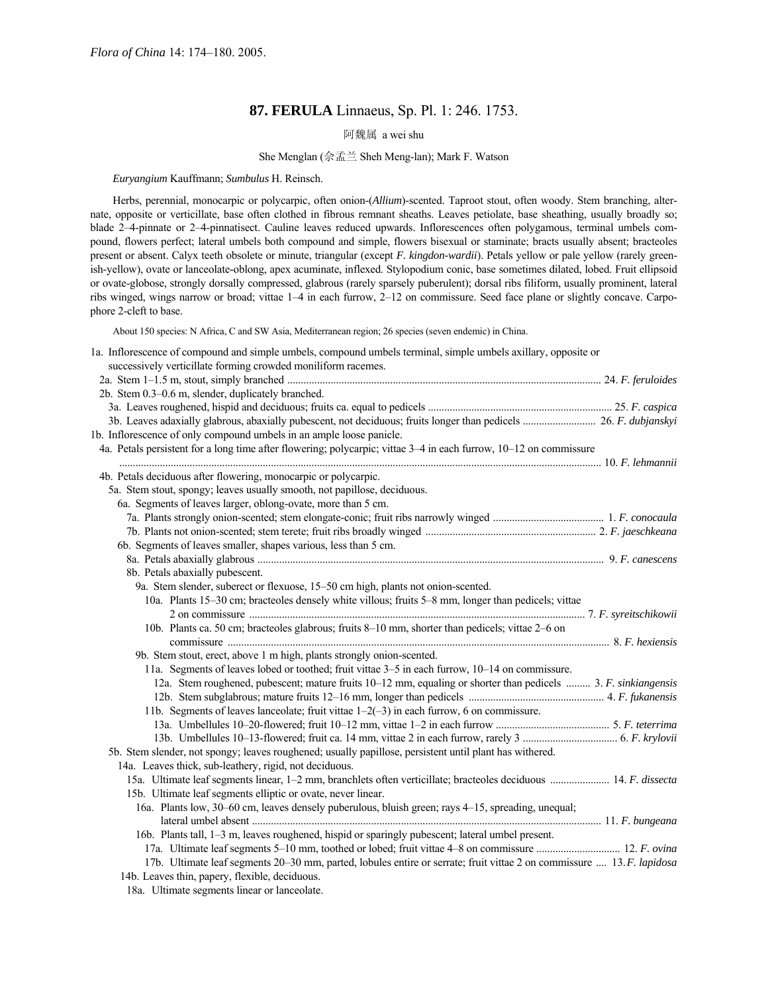# **87. FERULA** Linnaeus, Sp. Pl. 1: 246. 1753.

阿魏属 a wei shu

### She Menglan (佘孟兰 Sheh Meng-lan); Mark F. Watson

*Euryangium* Kauffmann; *Sumbulus* H. Reinsch.

Herbs, perennial, monocarpic or polycarpic, often onion-(*Allium*)-scented. Taproot stout, often woody. Stem branching, alternate, opposite or verticillate, base often clothed in fibrous remnant sheaths. Leaves petiolate, base sheathing, usually broadly so; blade 2-4-pinnate or 2-4-pinnatisect. Cauline leaves reduced upwards. Inflorescences often polygamous, terminal umbels compound, flowers perfect; lateral umbels both compound and simple, flowers bisexual or staminate; bracts usually absent; bracteoles present or absent. Calyx teeth obsolete or minute, triangular (except *F. kingdon-wardii*). Petals yellow or pale yellow (rarely greenish-yellow), ovate or lanceolate-oblong, apex acuminate, inflexed. Stylopodium conic, base sometimes dilated, lobed. Fruit ellipsoid or ovate-globose, strongly dorsally compressed, glabrous (rarely sparsely puberulent); dorsal ribs filiform, usually prominent, lateral ribs winged, wings narrow or broad; vittae 1–4 in each furrow, 2–12 on commissure. Seed face plane or slightly concave. Carpophore 2-cleft to base.

About 150 species: N Africa, C and SW Asia, Mediterranean region; 26 species (seven endemic) in China.

| 1a. Inflorescence of compound and simple umbels, compound umbels terminal, simple umbels axillary, opposite or         |  |
|------------------------------------------------------------------------------------------------------------------------|--|
| successively verticillate forming crowded moniliform racemes.                                                          |  |
|                                                                                                                        |  |
| 2b. Stem 0.3-0.6 m, slender, duplicately branched.                                                                     |  |
|                                                                                                                        |  |
|                                                                                                                        |  |
| 1b. Inflorescence of only compound umbels in an ample loose panicle.                                                   |  |
| 4a. Petals persistent for a long time after flowering; polycarpic; vittae 3–4 in each furrow, 10–12 on commissure      |  |
|                                                                                                                        |  |
| 4b. Petals deciduous after flowering, monocarpic or polycarpic.                                                        |  |
| 5a. Stem stout, spongy; leaves usually smooth, not papillose, deciduous.                                               |  |
| 6a. Segments of leaves larger, oblong-ovate, more than 5 cm.                                                           |  |
|                                                                                                                        |  |
|                                                                                                                        |  |
| 6b. Segments of leaves smaller, shapes various, less than 5 cm.                                                        |  |
|                                                                                                                        |  |
| 8b. Petals abaxially pubescent.                                                                                        |  |
| 9a. Stem slender, suberect or flexuose, 15-50 cm high, plants not onion-scented.                                       |  |
| 10a. Plants 15–30 cm; bracteoles densely white villous; fruits 5–8 mm, longer than pedicels; vittae                    |  |
|                                                                                                                        |  |
| 10b. Plants ca. 50 cm; bracteoles glabrous; fruits 8–10 mm, shorter than pedicels; vittae 2–6 on                       |  |
|                                                                                                                        |  |
| 9b. Stem stout, erect, above 1 m high, plants strongly onion-scented.                                                  |  |
| 11a. Segments of leaves lobed or toothed; fruit vittae 3–5 in each furrow, 10–14 on commissure.                        |  |
| 12a. Stem roughened, pubescent; mature fruits 10–12 mm, equaling or shorter than pedicels  3. F. sinkiangensis         |  |
|                                                                                                                        |  |
| 11b. Segments of leaves lanceolate; fruit vittae $1-2(-3)$ in each furrow, 6 on commissure.                            |  |
|                                                                                                                        |  |
|                                                                                                                        |  |
| 5b. Stem slender, not spongy; leaves roughened; usually papillose, persistent until plant has withered.                |  |
| 14a. Leaves thick, sub-leathery, rigid, not deciduous.                                                                 |  |
| 15a. Ultimate leaf segments linear, 1-2 mm, branchlets often verticillate; bracteoles deciduous  14. F. dissecta       |  |
| 15b. Ultimate leaf segments elliptic or ovate, never linear.                                                           |  |
| 16a. Plants low, 30–60 cm, leaves densely puberulous, bluish green; rays 4–15, spreading, unequal;                     |  |
|                                                                                                                        |  |
| 16b. Plants tall, 1–3 m, leaves roughened, hispid or sparingly pubescent; lateral umbel present.                       |  |
|                                                                                                                        |  |
| 17b. Ultimate leaf segments 20–30 mm, parted, lobules entire or serrate; fruit vittae 2 on commissure  13. F. lapidosa |  |
| 14b. Leaves thin, papery, flexible, deciduous.                                                                         |  |
| 18a. Ultimate segments linear or lanceolate.                                                                           |  |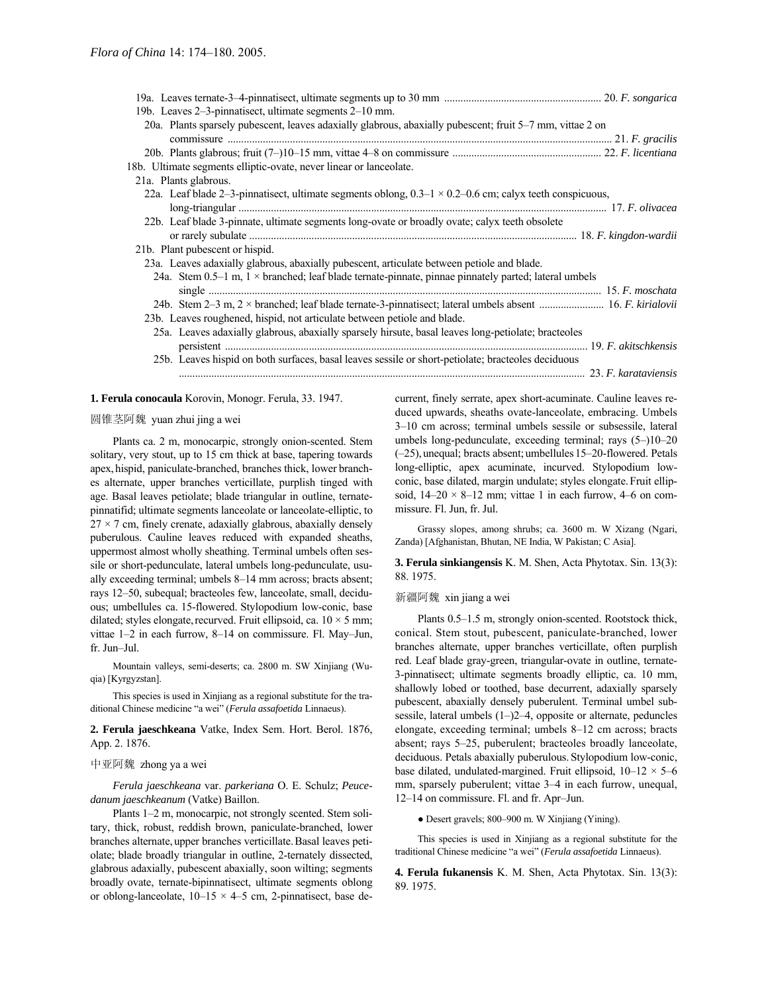| 19b. Leaves 2–3-pinnatisect, ultimate segments 2–10 mm.                                                        |  |
|----------------------------------------------------------------------------------------------------------------|--|
| 20a. Plants sparsely pubescent, leaves adaxially glabrous, abaxially pubescent; fruit 5–7 mm, vittae 2 on      |  |
|                                                                                                                |  |
|                                                                                                                |  |
| 18b. Ultimate segments elliptic-ovate, never linear or lanceolate.                                             |  |
| 21a. Plants glabrous.                                                                                          |  |
| 22a. Leaf blade 2–3-pinnatisect, ultimate segments oblong, $0.3-1 \times 0.2-0.6$ cm; calyx teeth conspicuous, |  |
|                                                                                                                |  |
| 22b. Leaf blade 3-pinnate, ultimate segments long-ovate or broadly ovate; calyx teeth obsolete                 |  |
|                                                                                                                |  |
| 21b. Plant pubescent or hispid.                                                                                |  |
| 23a. Leaves adaxially glabrous, abaxially pubescent, articulate between petiole and blade.                     |  |
| 24a. Stem 0.5–1 m, $1 \times$ branched; leaf blade ternate-pinnate, pinnae pinnately parted; lateral umbels    |  |
|                                                                                                                |  |
|                                                                                                                |  |
| 23b. Leaves roughened, hispid, not articulate between petiole and blade.                                       |  |
| 25a. Leaves adaxially glabrous, abaxially sparsely hirsute, basal leaves long-petiolate; bracteoles            |  |
|                                                                                                                |  |
| 25b. Leaves hispid on both surfaces, basal leaves sessile or short-petiolate; bracteoles deciduous             |  |
|                                                                                                                |  |
|                                                                                                                |  |

# **1. Ferula conocaula** Korovin, Monogr. Ferula, 33. 1947.

### 圆锥茎阿魏 yuan zhui jing a wei

Plants ca. 2 m, monocarpic, strongly onion-scented. Stem solitary, very stout, up to 15 cm thick at base, tapering towards apex, hispid, paniculate-branched, branches thick, lower branches alternate, upper branches verticillate, purplish tinged with age. Basal leaves petiolate; blade triangular in outline, ternatepinnatifid; ultimate segments lanceolate or lanceolate-elliptic, to  $27 \times 7$  cm, finely crenate, adaxially glabrous, abaxially densely puberulous. Cauline leaves reduced with expanded sheaths, uppermost almost wholly sheathing. Terminal umbels often sessile or short-pedunculate, lateral umbels long-pedunculate, usually exceeding terminal; umbels 8–14 mm across; bracts absent; rays 12–50, subequal; bracteoles few, lanceolate, small, deciduous; umbellules ca. 15-flowered. Stylopodium low-conic, base dilated; styles elongate, recurved. Fruit ellipsoid, ca.  $10 \times 5$  mm; vittae 1–2 in each furrow, 8–14 on commissure. Fl. May–Jun, fr. Jun-Jul.

Mountain valleys, semi-deserts; ca. 2800 m. SW Xinjiang (Wuqia) [Kyrgyzstan].

This species is used in Xinjiang as a regional substitute for the traditional Chinese medicine "a wei" (*Ferula assafoetida* Linnaeus).

**2. Ferula jaeschkeana** Vatke, Index Sem. Hort. Berol. 1876, App. 2. 1876.

### 中亚阿魏 zhong ya a wei

*Ferula jaeschkeana* var. *parkeriana* O. E. Schulz; *Peucedanum jaeschkeanum* (Vatke) Baillon.

Plants 1-2 m, monocarpic, not strongly scented. Stem solitary, thick, robust, reddish brown, paniculate-branched, lower branches alternate, upper branches verticillate.Basal leaves petiolate; blade broadly triangular in outline, 2-ternately dissected, glabrous adaxially, pubescent abaxially, soon wilting; segments broadly ovate, ternate-bipinnatisect, ultimate segments oblong or oblong-lanceolate,  $10-15 \times 4-5$  cm, 2-pinnatisect, base decurrent, finely serrate, apex short-acuminate. Cauline leaves reduced upwards, sheaths ovate-lanceolate, embracing. Umbels 3-10 cm across; terminal umbels sessile or subsessile, lateral umbels long-pedunculate, exceeding terminal; rays  $(5-)10-20$  $(-25)$ , unequal; bracts absent; umbellules 15-20-flowered. Petals long-elliptic, apex acuminate, incurved. Stylopodium lowconic, base dilated, margin undulate; styles elongate.Fruit ellipsoid,  $14-20 \times 8-12$  mm; vittae 1 in each furrow, 4–6 on commissure. Fl. Jun, fr. Jul.

Grassy slopes, among shrubs; ca. 3600 m. W Xizang (Ngari, Zanda) [Afghanistan, Bhutan, NE India, W Pakistan; C Asia].

#### **3. Ferula sinkiangensis** K. M. Shen, Acta Phytotax. Sin. 13(3): 88. 1975.

新疆阿魏 xin jiang a wei

Plants 0.5–1.5 m, strongly onion-scented. Rootstock thick, conical. Stem stout, pubescent, paniculate-branched, lower branches alternate, upper branches verticillate, often purplish red. Leaf blade gray-green, triangular-ovate in outline, ternate-3-pinnatisect; ultimate segments broadly elliptic, ca. 10 mm, shallowly lobed or toothed, base decurrent, adaxially sparsely pubescent, abaxially densely puberulent. Terminal umbel subsessile, lateral umbels  $(1–)2–4$ , opposite or alternate, peduncles elongate, exceeding terminal; umbels  $8-12$  cm across; bracts absent; rays 5-25, puberulent; bracteoles broadly lanceolate, deciduous. Petals abaxially puberulous. Stylopodium low-conic, base dilated, undulated-margined. Fruit ellipsoid,  $10-12 \times 5-6$ mm, sparsely puberulent; vittae 3–4 in each furrow, unequal, 12–14 on commissure. Fl. and fr. Apr-Jun.

• Desert gravels; 800-900 m. W Xinjiang (Yining).

This species is used in Xinjiang as a regional substitute for the traditional Chinese medicine "a wei" (*Ferula assafoetida* Linnaeus).

**4. Ferula fukanensis** K. M. Shen, Acta Phytotax. Sin. 13(3): 89. 1975.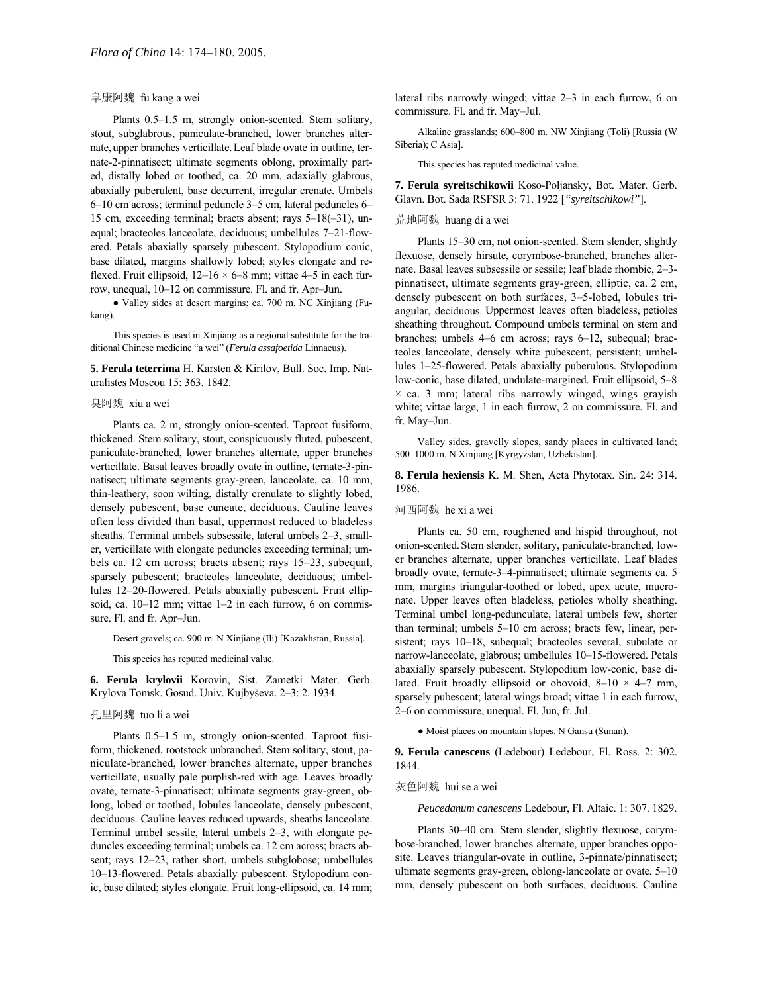### 阜康阿魏 fu kang a wei

Plants  $0.5-1.5$  m, strongly onion-scented. Stem solitary, stout, subglabrous, paniculate-branched, lower branches alternate, upper branches verticillate.Leaf blade ovate in outline, ternate-2-pinnatisect; ultimate segments oblong, proximally parted, distally lobed or toothed, ca. 20 mm, adaxially glabrous, abaxially puberulent, base decurrent, irregular crenate. Umbels  $6-10$  cm across; terminal peduncle  $3-5$  cm, lateral peduncles  $6-$ 15 cm, exceeding terminal; bracts absent; rays  $5-18(-31)$ , unequal; bracteoles lanceolate, deciduous; umbellules 7-21-flowered. Petals abaxially sparsely pubescent. Stylopodium conic, base dilated, margins shallowly lobed; styles elongate and reflexed. Fruit ellipsoid,  $12-16 \times 6-8$  mm; vittae 4-5 in each furrow, unequal, 10–12 on commissure. Fl. and fr. Apr-Jun.

● Valley sides at desert margins; ca. 700 m. NC Xinjiang (Fukang).

This species is used in Xinjiang as a regional substitute for the traditional Chinese medicine "a wei" (*Ferula assafoetida* Linnaeus).

**5. Ferula teterrima** H. Karsten & Kirilov, Bull. Soc. Imp. Naturalistes Moscou 15: 363. 1842.

#### 臭阿魏 xiu a wei

Plants ca. 2 m, strongly onion-scented. Taproot fusiform, thickened. Stem solitary, stout, conspicuously fluted, pubescent, paniculate-branched, lower branches alternate, upper branches verticillate. Basal leaves broadly ovate in outline, ternate-3-pinnatisect; ultimate segments gray-green, lanceolate, ca. 10 mm, thin-leathery, soon wilting, distally crenulate to slightly lobed, densely pubescent, base cuneate, deciduous. Cauline leaves often less divided than basal, uppermost reduced to bladeless sheaths. Terminal umbels subsessile, lateral umbels 2-3, smaller, verticillate with elongate peduncles exceeding terminal; umbels ca. 12 cm across; bracts absent; rays  $15-23$ , subequal, sparsely pubescent; bracteoles lanceolate, deciduous; umbellules 12-20-flowered. Petals abaxially pubescent. Fruit ellipsoid, ca.  $10-12$  mm; vittae  $1-2$  in each furrow, 6 on commissure. Fl. and fr. Apr-Jun.

Desert gravels; ca. 900 m. N Xinjiang (Ili) [Kazakhstan, Russia].

This species has reputed medicinal value.

**6. Ferula krylovii** Korovin, Sist. Zametki Mater. Gerb. Krylova Tomsk. Gosud. Univ. Kujbyševa. 2-3: 2. 1934.

### 托里阿魏 tuo li a wei

Plants 0.5-1.5 m, strongly onion-scented. Taproot fusiform, thickened, rootstock unbranched. Stem solitary, stout, paniculate-branched, lower branches alternate, upper branches verticillate, usually pale purplish-red with age. Leaves broadly ovate, ternate-3-pinnatisect; ultimate segments gray-green, oblong, lobed or toothed, lobules lanceolate, densely pubescent, deciduous. Cauline leaves reduced upwards, sheaths lanceolate. Terminal umbel sessile, lateral umbels  $2-3$ , with elongate peduncles exceeding terminal; umbels ca. 12 cm across; bracts absent; rays 12-23, rather short, umbels subglobose; umbellules 10–13-flowered. Petals abaxially pubescent. Stylopodium conic, base dilated; styles elongate. Fruit long-ellipsoid, ca. 14 mm; lateral ribs narrowly winged; vittae  $2-3$  in each furrow, 6 on commissure. Fl. and fr. May-Jul.

Alkaline grasslands; 600-800 m. NW Xinjiang (Toli) [Russia (W Siberia); C Asia].

This species has reputed medicinal value.

**7. Ferula syreitschikowii** Koso-Poljansky, Bot. Mater. Gerb. Glavn. Bot. Sada RSFSR 3: 71. 1922 [*"syreitschikowi"*].

# 荒地阿魏 huang di a wei

Plants 15–30 cm, not onion-scented. Stem slender, slightly flexuose, densely hirsute, corymbose-branched, branches alternate. Basal leaves subsessile or sessile; leaf blade rhombic, 2-3pinnatisect, ultimate segments gray-green, elliptic, ca. 2 cm, densely pubescent on both surfaces, 3-5-lobed, lobules triangular, deciduous. Uppermost leaves often bladeless, petioles sheathing throughout. Compound umbels terminal on stem and branches; umbels  $4-6$  cm across; rays  $6-12$ , subequal; bracteoles lanceolate, densely white pubescent, persistent; umbellules 1-25-flowered. Petals abaxially puberulous. Stylopodium low-conic, base dilated, undulate-margined. Fruit ellipsoid, 5-8  $\times$  ca. 3 mm; lateral ribs narrowly winged, wings grayish white; vittae large, 1 in each furrow, 2 on commissure. Fl. and fr. May-Jun.

Valley sides, gravelly slopes, sandy places in cultivated land; 500-1000 m. N Xinjiang [Kyrgyzstan, Uzbekistan].

**8. Ferula hexiensis** K. M. Shen, Acta Phytotax. Sin. 24: 314. 1986.

#### 河西阿魏 he xi a wei

Plants ca. 50 cm, roughened and hispid throughout, not onion-scented.Stem slender, solitary, paniculate-branched, lower branches alternate, upper branches verticillate. Leaf blades broadly ovate, ternate-3-4-pinnatisect; ultimate segments ca. 5 mm, margins triangular-toothed or lobed, apex acute, mucronate. Upper leaves often bladeless, petioles wholly sheathing. Terminal umbel long-pedunculate, lateral umbels few, shorter than terminal; umbels  $5-10$  cm across; bracts few, linear, persistent; rays 10-18, subequal; bracteoles several, subulate or narrow-lanceolate, glabrous; umbellules 10-15-flowered. Petals abaxially sparsely pubescent. Stylopodium low-conic, base dilated. Fruit broadly ellipsoid or obovoid,  $8-10 \times 4-7$  mm, sparsely pubescent; lateral wings broad; vittae 1 in each furrow, 2–6 on commissure, unequal. Fl. Jun, fr. Jul.

● Moist places on mountain slopes. N Gansu (Sunan).

**9. Ferula canescens** (Ledebour) Ledebour, Fl. Ross. 2: 302. 1844.

### 灰色阿魏 hui se a wei

*Peucedanum canescens* Ledebour, Fl. Altaic. 1: 307. 1829.

Plants 30–40 cm. Stem slender, slightly flexuose, corymbose-branched, lower branches alternate, upper branches opposite. Leaves triangular-ovate in outline, 3-pinnate/pinnatisect; ultimate segments gray-green, oblong-lanceolate or ovate,  $5-10$ mm, densely pubescent on both surfaces, deciduous. Cauline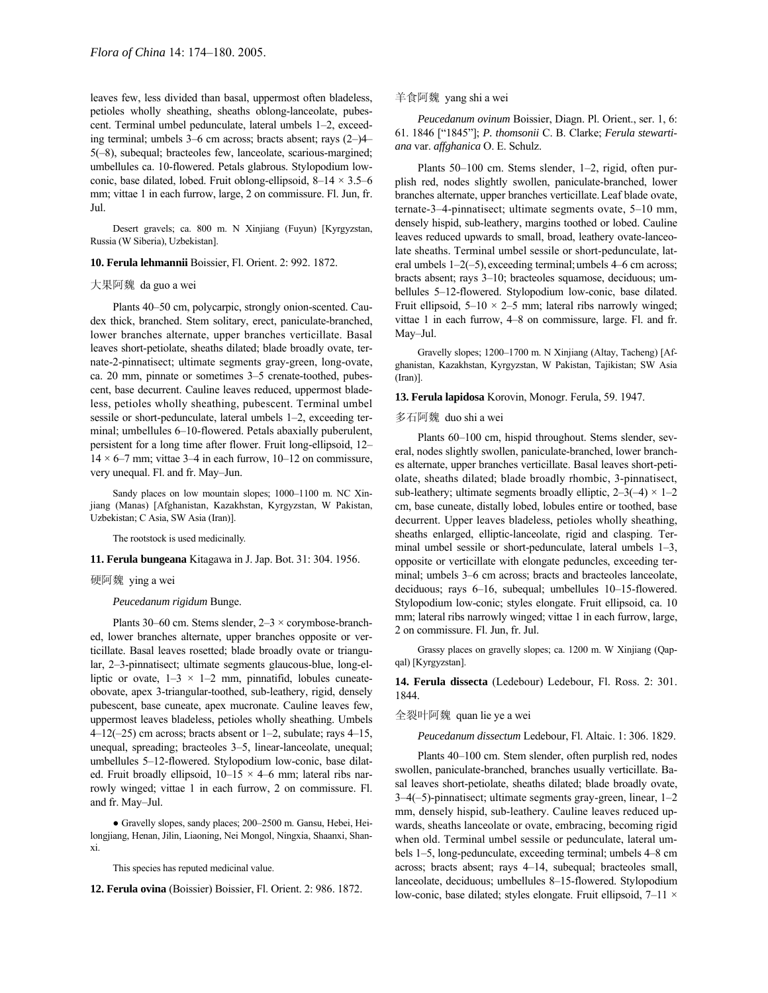leaves few, less divided than basal, uppermost often bladeless, petioles wholly sheathing, sheaths oblong-lanceolate, pubescent. Terminal umbel pedunculate, lateral umbels 1-2, exceeding terminal; umbels  $3-6$  cm across; bracts absent; rays  $(2-)4 5(-8)$ , subequal; bracteoles few, lanceolate, scarious-margined; umbellules ca. 10-flowered. Petals glabrous. Stylopodium lowconic, base dilated, lobed. Fruit oblong-ellipsoid,  $8-14 \times 3.5-6$ mm; vittae 1 in each furrow, large, 2 on commissure. Fl. Jun, fr. Jul.

Desert gravels; ca. 800 m. N Xinjiang (Fuyun) [Kyrgyzstan, Russia (W Siberia), Uzbekistan].

### **10. Ferula lehmannii** Boissier, Fl. Orient. 2: 992. 1872.

### 大果阿魏 da guo a wei

Plants 40–50 cm, polycarpic, strongly onion-scented. Caudex thick, branched. Stem solitary, erect, paniculate-branched, lower branches alternate, upper branches verticillate. Basal leaves short-petiolate, sheaths dilated; blade broadly ovate, ternate-2-pinnatisect; ultimate segments gray-green, long-ovate, ca. 20 mm, pinnate or sometimes  $3-5$  crenate-toothed, pubescent, base decurrent. Cauline leaves reduced, uppermost bladeless, petioles wholly sheathing, pubescent. Terminal umbel sessile or short-pedunculate, lateral umbels  $1-2$ , exceeding terminal; umbellules 6-10-flowered. Petals abaxially puberulent, persistent for a long time after flower. Fruit long-ellipsoid, 12- $14 \times 6$ –7 mm; vittae 3–4 in each furrow, 10–12 on commissure, very unequal. Fl. and fr. May-Jun.

Sandy places on low mountain slopes; 1000-1100 m. NC Xinjiang (Manas) [Afghanistan, Kazakhstan, Kyrgyzstan, W Pakistan, Uzbekistan; C Asia, SW Asia (Iran)].

The rootstock is used medicinally.

### **11. Ferula bungeana** Kitagawa in J. Jap. Bot. 31: 304. 1956.

### 硬阿魏 ying a wei

#### *Peucedanum rigidum* Bunge.

Plants 30–60 cm. Stems slender,  $2-3 \times$  corymbose-branched, lower branches alternate, upper branches opposite or verticillate. Basal leaves rosetted; blade broadly ovate or triangular, 2-3-pinnatisect; ultimate segments glaucous-blue, long-elliptic or ovate,  $1-3 \times 1-2$  mm, pinnatifid, lobules cuneateobovate, apex 3-triangular-toothed, sub-leathery, rigid, densely pubescent, base cuneate, apex mucronate. Cauline leaves few, uppermost leaves bladeless, petioles wholly sheathing. Umbels 4 $-12(-25)$  cm across; bracts absent or 1 $-2$ , subulate; rays 4 $-15$ , unequal, spreading; bracteoles 3–5, linear-lanceolate, unequal; umbellules 5-12-flowered. Stylopodium low-conic, base dilated. Fruit broadly ellipsoid,  $10-15 \times 4-6$  mm; lateral ribs narrowly winged; vittae 1 in each furrow, 2 on commissure. Fl. and fr. May-Jul.

• Gravelly slopes, sandy places; 200-2500 m. Gansu, Hebei, Heilongjiang, Henan, Jilin, Liaoning, Nei Mongol, Ningxia, Shaanxi, Shanxi.

This species has reputed medicinal value.

**12. Ferula ovina** (Boissier) Boissier, Fl. Orient. 2: 986. 1872.

### 羊食阿魏 yang shi a wei

*Peucedanum ovinum* Boissier, Diagn. Pl. Orient., ser. 1, 6: 61. 1846 [ì1845î]; *P. thomsonii* C. B. Clarke; *Ferula stewartiana* var. *affghanica* O. E. Schulz.

Plants 50–100 cm. Stems slender, 1–2, rigid, often purplish red, nodes slightly swollen, paniculate-branched, lower branches alternate, upper branches verticillate.Leaf blade ovate, ternate-3-4-pinnatisect; ultimate segments ovate,  $5-10$  mm, densely hispid, sub-leathery, margins toothed or lobed. Cauline leaves reduced upwards to small, broad, leathery ovate-lanceolate sheaths. Terminal umbel sessile or short-pedunculate, lateral umbels  $1-2(-5)$ , exceeding terminal; umbels  $4-6$  cm across; bracts absent; rays 3–10; bracteoles squamose, deciduous; umbellules 5-12-flowered. Stylopodium low-conic, base dilated. Fruit ellipsoid,  $5-10 \times 2-5$  mm; lateral ribs narrowly winged; vittae 1 in each furrow,  $4-8$  on commissure, large. Fl. and fr. May-Jul.

Gravelly slopes; 1200-1700 m. N Xinjiang (Altay, Tacheng) [Afghanistan, Kazakhstan, Kyrgyzstan, W Pakistan, Tajikistan; SW Asia (Iran)].

#### **13. Ferula lapidosa** Korovin, Monogr. Ferula, 59. 1947.

#### 多石阿魏 duo shi a wei

Plants 60–100 cm, hispid throughout. Stems slender, several, nodes slightly swollen, paniculate-branched, lower branches alternate, upper branches verticillate. Basal leaves short-petiolate, sheaths dilated; blade broadly rhombic, 3-pinnatisect, sub-leathery; ultimate segments broadly elliptic,  $2-3(-4) \times 1-2$ cm, base cuneate, distally lobed, lobules entire or toothed, base decurrent. Upper leaves bladeless, petioles wholly sheathing, sheaths enlarged, elliptic-lanceolate, rigid and clasping. Terminal umbel sessile or short-pedunculate, lateral umbels  $1-3$ , opposite or verticillate with elongate peduncles, exceeding terminal; umbels 3–6 cm across; bracts and bracteoles lanceolate, deciduous; rays  $6-16$ , subequal; umbellules  $10-15$ -flowered. Stylopodium low-conic; styles elongate. Fruit ellipsoid, ca. 10 mm; lateral ribs narrowly winged; vittae 1 in each furrow, large, 2 on commissure. Fl. Jun, fr. Jul.

Grassy places on gravelly slopes; ca. 1200 m. W Xinjiang (Qapqal) [Kyrgyzstan].

**14. Ferula dissecta** (Ledebour) Ledebour, Fl. Ross. 2: 301. 1844.

### 全裂叶阿魏 quan lie ye a wei

*Peucedanum dissectum* Ledebour, Fl. Altaic. 1: 306. 1829.

Plants 40–100 cm. Stem slender, often purplish red, nodes swollen, paniculate-branched, branches usually verticillate. Basal leaves short-petiolate, sheaths dilated; blade broadly ovate,  $3-4(-5)$ -pinnatisect; ultimate segments gray-green, linear,  $1-2$ mm, densely hispid, sub-leathery. Cauline leaves reduced upwards, sheaths lanceolate or ovate, embracing, becoming rigid when old. Terminal umbel sessile or pedunculate, lateral umbels 1–5, long-pedunculate, exceeding terminal; umbels 4–8 cm across; bracts absent; rays  $4-14$ , subequal; bracteoles small, lanceolate, deciduous; umbellules 8-15-flowered. Stylopodium low-conic, base dilated; styles elongate. Fruit ellipsoid,  $7-11 \times$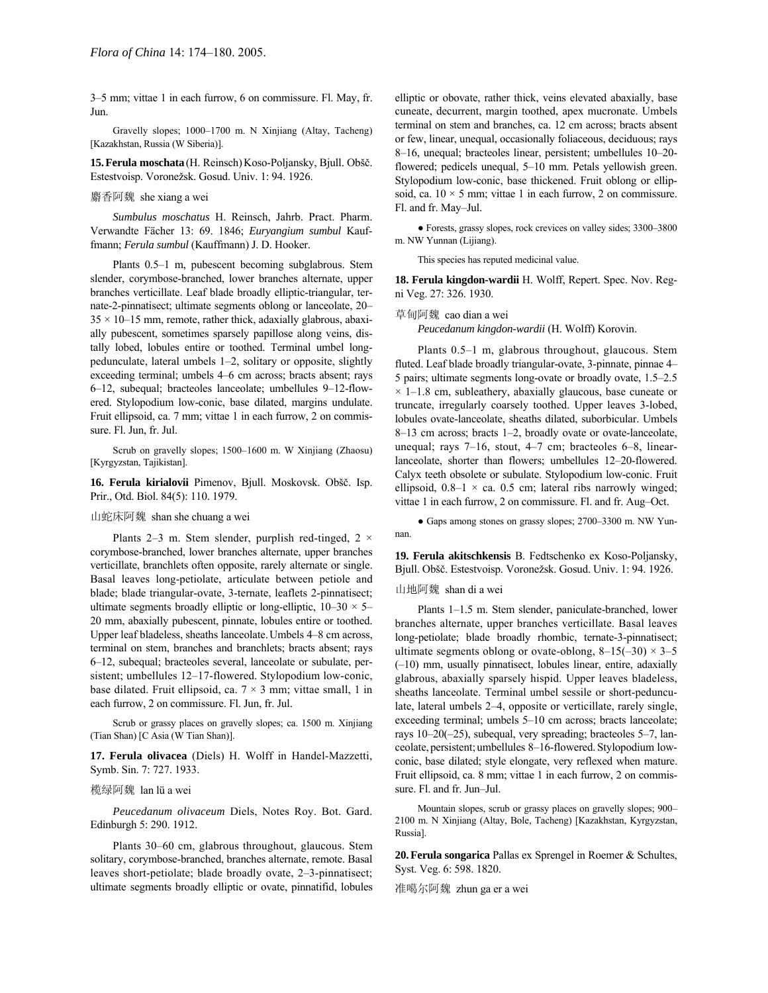3–5 mm; vittae 1 in each furrow, 6 on commissure. Fl. May, fr. Jun.

Gravelly slopes; 1000-1700 m. N Xinjiang (Altay, Tacheng) [Kazakhstan, Russia (W Siberia)].

**15.Ferula moschata** (H. Reinsch)Koso-Poljansky, Bjull. Oböč. Estestvoisp. Voronežsk. Gosud. Univ. 1: 94. 1926.

### 麝香阿魏 she xiang a wei

*Sumbulus moschatus* H. Reinsch, Jahrb. Pract. Pharm. Verwandte Fächer 13: 69. 1846; *Euryangium sumbul* Kauffmann; *Ferula sumbul* (Kauffmann) J. D. Hooker.

Plants 0.5–1 m, pubescent becoming subglabrous. Stem slender, corymbose-branched, lower branches alternate, upper branches verticillate. Leaf blade broadly elliptic-triangular, ternate-2-pinnatisect; ultimate segments oblong or lanceolate, 20- $35 \times 10 - 15$  mm, remote, rather thick, adaxially glabrous, abaxially pubescent, sometimes sparsely papillose along veins, distally lobed, lobules entire or toothed. Terminal umbel longpedunculate, lateral umbels  $1-2$ , solitary or opposite, slightly exceeding terminal; umbels 4–6 cm across; bracts absent; rays 6-12, subequal; bracteoles lanceolate; umbellules 9-12-flowered. Stylopodium low-conic, base dilated, margins undulate. Fruit ellipsoid, ca. 7 mm; vittae 1 in each furrow, 2 on commissure. Fl. Jun, fr. Jul.

Scrub on gravelly slopes; 1500-1600 m. W Xinjiang (Zhaosu) [Kyrgyzstan, Tajikistan].

**16. Ferula kirialovii** Pimenov, Bjull. Moskovsk. Oböč. Isp. Prir., Otd. Biol. 84(5): 110. 1979.

# 山蛇床阿魏 shan she chuang a wei

Plants 2-3 m. Stem slender, purplish red-tinged, 2  $\times$ corymbose-branched, lower branches alternate, upper branches verticillate, branchlets often opposite, rarely alternate or single. Basal leaves long-petiolate, articulate between petiole and blade; blade triangular-ovate, 3-ternate, leaflets 2-pinnatisect; ultimate segments broadly elliptic or long-elliptic,  $10-30 \times 5$ 20 mm, abaxially pubescent, pinnate, lobules entire or toothed. Upper leaf bladeless, sheaths lanceolate. Umbels 4–8 cm across, terminal on stem, branches and branchlets; bracts absent; rays 6–12, subequal; bracteoles several, lanceolate or subulate, persistent; umbellules 12-17-flowered. Stylopodium low-conic, base dilated. Fruit ellipsoid, ca. 7 × 3 mm; vittae small, 1 in each furrow, 2 on commissure. Fl. Jun, fr. Jul.

Scrub or grassy places on gravelly slopes; ca. 1500 m. Xinjiang (Tian Shan) [C Asia (W Tian Shan)].

**17. Ferula olivacea** (Diels) H. Wolff in Handel-Mazzetti, Symb. Sin. 7: 727. 1933.

#### 榄绿阿魏 lan lü a wei

*Peucedanum olivaceum* Diels, Notes Roy. Bot. Gard. Edinburgh 5: 290. 1912.

Plants 30–60 cm, glabrous throughout, glaucous. Stem solitary, corymbose-branched, branches alternate, remote. Basal leaves short-petiolate; blade broadly ovate, 2-3-pinnatisect; ultimate segments broadly elliptic or ovate, pinnatifid, lobules elliptic or obovate, rather thick, veins elevated abaxially, base cuneate, decurrent, margin toothed, apex mucronate. Umbels terminal on stem and branches, ca. 12 cm across; bracts absent or few, linear, unequal, occasionally foliaceous, deciduous; rays 8–16, unequal; bracteoles linear, persistent; umbellules 10–20flowered; pedicels unequal, 5–10 mm. Petals yellowish green. Stylopodium low-conic, base thickened. Fruit oblong or ellipsoid, ca.  $10 \times 5$  mm; vittae 1 in each furrow, 2 on commissure. Fl. and fr. May-Jul.

• Forests, grassy slopes, rock crevices on valley sides; 3300-3800 m. NW Yunnan (Lijiang).

This species has reputed medicinal value.

**18. Ferula kingdon-wardii** H. Wolff, Repert. Spec. Nov. Regni Veg. 27: 326. 1930.

#### 草甸阿魏 cao dian a wei

*Peucedanum kingdon-wardii* (H. Wolff) Korovin.

Plants 0.5-1 m, glabrous throughout, glaucous. Stem fluted. Leaf blade broadly triangular-ovate, 3-pinnate, pinnae 4– 5 pairs; ultimate segments long-ovate or broadly ovate,  $1.5-2.5$  $\times$  1–1.8 cm, subleathery, abaxially glaucous, base cuneate or truncate, irregularly coarsely toothed. Upper leaves 3-lobed, lobules ovate-lanceolate, sheaths dilated, suborbicular. Umbels 8–13 cm across; bracts 1–2, broadly ovate or ovate-lanceolate, unequal; rays  $7-16$ , stout,  $4-7$  cm; bracteoles 6-8, linearlanceolate, shorter than flowers; umbellules 12-20-flowered. Calyx teeth obsolete or subulate. Stylopodium low-conic. Fruit ellipsoid,  $0.8-1 \times$  ca. 0.5 cm; lateral ribs narrowly winged; vittae 1 in each furrow, 2 on commissure. Fl. and fr. Aug-Oct.

• Gaps among stones on grassy slopes; 2700-3300 m. NW Yunnan.

**19. Ferula akitschkensis** B. Fedtschenko ex Koso-Poljansky, Bjull. Obšč. Estestvoisp. Voronežsk. Gosud. Univ. 1: 94. 1926.

### 山地阿魏 shan di a wei

Plants 1–1.5 m. Stem slender, paniculate-branched, lower branches alternate, upper branches verticillate. Basal leaves long-petiolate; blade broadly rhombic, ternate-3-pinnatisect; ultimate segments oblong or ovate-oblong,  $8-15(-30) \times 3-5$  $(-10)$  mm, usually pinnatisect, lobules linear, entire, adaxially glabrous, abaxially sparsely hispid. Upper leaves bladeless, sheaths lanceolate. Terminal umbel sessile or short-pedunculate, lateral umbels 2-4, opposite or verticillate, rarely single, exceeding terminal; umbels 5–10 cm across; bracts lanceolate; rays  $10-20(-25)$ , subequal, very spreading; bracteoles 5–7, lanceolate, persistent; umbellules 8–16-flowered. Stylopodium lowconic, base dilated; style elongate, very reflexed when mature. Fruit ellipsoid, ca. 8 mm; vittae 1 in each furrow, 2 on commissure. Fl. and fr. Jun-Jul.

Mountain slopes, scrub or grassy places on gravelly slopes; 900-2100 m. N Xinjiang (Altay, Bole, Tacheng) [Kazakhstan, Kyrgyzstan, Russia].

**20. Ferula songarica** Pallas ex Sprengel in Roemer & Schultes, Syst. Veg. 6: 598. 1820.

准噶尔阿魏 zhun ga er a wei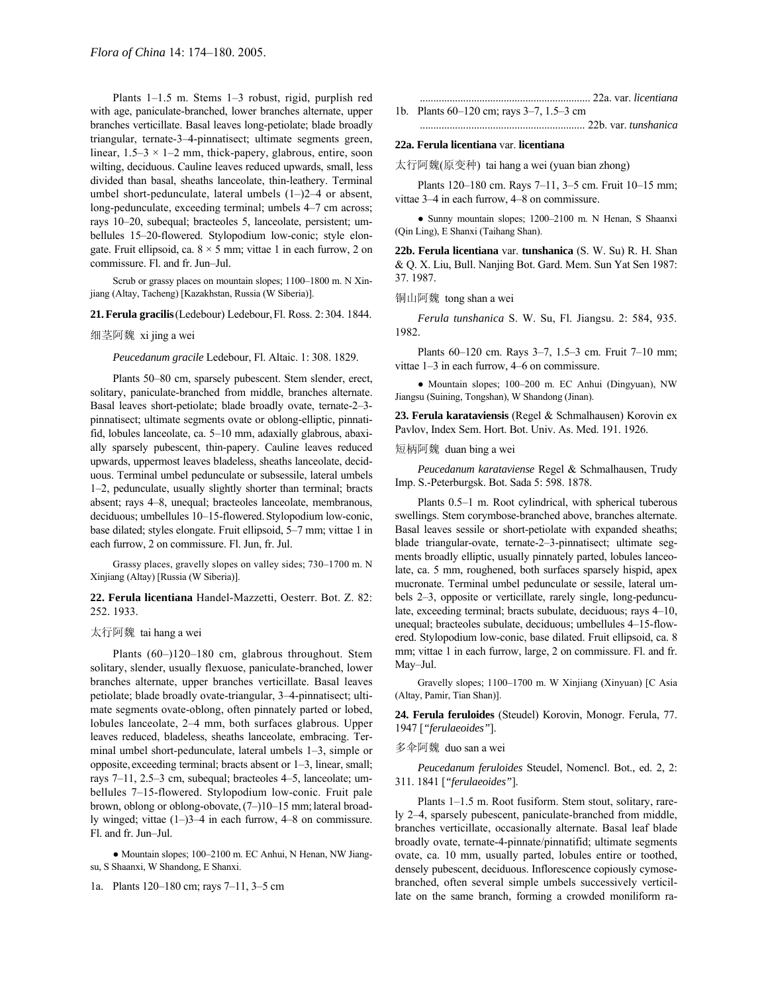Plants 1-1.5 m. Stems 1-3 robust, rigid, purplish red with age, paniculate-branched, lower branches alternate, upper branches verticillate. Basal leaves long-petiolate; blade broadly triangular, ternate-3-4-pinnatisect; ultimate segments green, linear,  $1.5-3 \times 1-2$  mm, thick-papery, glabrous, entire, soon wilting, deciduous. Cauline leaves reduced upwards, small, less divided than basal, sheaths lanceolate, thin-leathery. Terminal umbel short-pedunculate, lateral umbels  $(1–)2–4$  or absent, long-pedunculate, exceeding terminal; umbels 4–7 cm across; rays 10–20, subequal; bracteoles 5, lanceolate, persistent; umbellules 15-20-flowered. Stylopodium low-conic; style elongate. Fruit ellipsoid, ca.  $8 \times 5$  mm; vittae 1 in each furrow, 2 on commissure. Fl. and fr. Jun-Jul.

Scrub or grassy places on mountain slopes; 1100–1800 m. N Xinjiang (Altay, Tacheng) [Kazakhstan, Russia (W Siberia)].

#### **21.Ferula gracilis**(Ledebour) Ledebour,Fl. Ross. 2:304. 1844.

#### 细茎阿魏 xi jing a wei

*Peucedanum gracile* Ledebour, Fl. Altaic. 1: 308. 1829.

Plants 50–80 cm, sparsely pubescent. Stem slender, erect, solitary, paniculate-branched from middle, branches alternate. Basal leaves short-petiolate; blade broadly ovate, ternate-2-3pinnatisect; ultimate segments ovate or oblong-elliptic, pinnatifid, lobules lanceolate, ca.  $5-10$  mm, adaxially glabrous, abaxially sparsely pubescent, thin-papery. Cauline leaves reduced upwards, uppermost leaves bladeless, sheaths lanceolate, deciduous. Terminal umbel pedunculate or subsessile, lateral umbels 1–2, pedunculate, usually slightly shorter than terminal; bracts absent; rays 4-8, unequal; bracteoles lanceolate, membranous, deciduous; umbellules 10-15-flowered. Stylopodium low-conic, base dilated; styles elongate. Fruit ellipsoid, 5–7 mm; vittae 1 in each furrow, 2 on commissure. Fl. Jun, fr. Jul.

Grassy places, gravelly slopes on valley sides; 730-1700 m. N Xinjiang (Altay) [Russia (W Siberia)].

### **22. Ferula licentiana** Handel-Mazzetti, Oesterr. Bot. Z. 82: 252. 1933.

### 太行阿魏 tai hang a wei

Plants (60-)120-180 cm, glabrous throughout. Stem solitary, slender, usually flexuose, paniculate-branched, lower branches alternate, upper branches verticillate. Basal leaves petiolate; blade broadly ovate-triangular, 3-4-pinnatisect; ultimate segments ovate-oblong, often pinnately parted or lobed, lobules lanceolate, 2-4 mm, both surfaces glabrous. Upper leaves reduced, bladeless, sheaths lanceolate, embracing. Terminal umbel short-pedunculate, lateral umbels  $1-3$ , simple or opposite, exceeding terminal; bracts absent or  $1-3$ , linear, small; rays  $7-11$ , 2.5 $-3$  cm, subequal; bracteoles 4 $-5$ , lanceolate; umbellules 7-15-flowered. Stylopodium low-conic. Fruit pale brown, oblong or oblong-obovate, (7-)10-15 mm; lateral broadly winged; vittae  $(1-)3-4$  in each furrow,  $4-8$  on commissure. Fl. and fr. Jun-Jul.

• Mountain slopes; 100-2100 m. EC Anhui, N Henan, NW Jiangsu, S Shaanxi, W Shandong, E Shanxi.

1a. Plants 120-180 cm; rays 7-11, 3-5 cm

............................................................... 22a. var. *licentiana*

1b. Plants  $60-120$  cm; rays  $3-7$ ,  $1.5-3$  cm ............................................................. 22b. var. *tunshanica*

#### **22a. Ferula licentiana** var. **licentiana**

太行阿魏(原变种) tai hang a wei (yuan bian zhong)

Plants 120–180 cm. Rays 7–11, 3–5 cm. Fruit 10–15 mm; vittae 3–4 in each furrow, 4–8 on commissure.

• Sunny mountain slopes; 1200–2100 m. N Henan, S Shaanxi (Qin Ling), E Shanxi (Taihang Shan).

**22b. Ferula licentiana** var. **tunshanica** (S. W. Su) R. H. Shan & Q. X. Liu, Bull. Nanjing Bot. Gard. Mem. Sun Yat Sen 1987: 37. 1987.

铜山阿魏 tong shan a wei

*Ferula tunshanica* S. W. Su, Fl. Jiangsu. 2: 584, 935. 1982.

Plants 60–120 cm. Rays 3–7, 1.5–3 cm. Fruit 7–10 mm; vittae  $1-3$  in each furrow,  $4-6$  on commissure.

• Mountain slopes; 100–200 m. EC Anhui (Dingyuan), NW Jiangsu (Suining, Tongshan), W Shandong (Jinan).

**23. Ferula karataviensis** (Regel & Schmalhausen) Korovin ex Pavlov, Index Sem. Hort. Bot. Univ. As. Med. 191. 1926.

短柄阿魏 duan bing a wei

*Peucedanum karataviense* Regel & Schmalhausen, Trudy Imp. S.-Peterburgsk. Bot. Sada 5: 598. 1878.

Plants 0.5-1 m. Root cylindrical, with spherical tuberous swellings. Stem corymbose-branched above, branches alternate. Basal leaves sessile or short-petiolate with expanded sheaths; blade triangular-ovate, ternate-2-3-pinnatisect; ultimate segments broadly elliptic, usually pinnately parted, lobules lanceolate, ca. 5 mm, roughened, both surfaces sparsely hispid, apex mucronate. Terminal umbel pedunculate or sessile, lateral umbels 2–3, opposite or verticillate, rarely single, long-pedunculate, exceeding terminal; bracts subulate, deciduous; rays 4–10, unequal; bracteoles subulate, deciduous; umbellules 4–15-flowered. Stylopodium low-conic, base dilated. Fruit ellipsoid, ca. 8 mm; vittae 1 in each furrow, large, 2 on commissure. Fl. and fr. May-Jul.

Gravelly slopes; 1100-1700 m. W Xinjiang (Xinyuan) [C Asia (Altay, Pamir, Tian Shan)].

**24. Ferula feruloides** (Steudel) Korovin, Monogr. Ferula, 77. 1947 [*"ferulaeoides"*].

#### 多伞阿魏 duo san a wei

*Peucedanum feruloides* Steudel, Nomencl. Bot., ed. 2, 2: 311. 1841 [*"ferulaeoides"*].

Plants 1–1.5 m. Root fusiform. Stem stout, solitary, rarely 2–4, sparsely pubescent, paniculate-branched from middle, branches verticillate, occasionally alternate. Basal leaf blade broadly ovate, ternate-4-pinnate/pinnatifid; ultimate segments ovate, ca. 10 mm, usually parted, lobules entire or toothed, densely pubescent, deciduous. Inflorescence copiously cymosebranched, often several simple umbels successively verticillate on the same branch, forming a crowded moniliform ra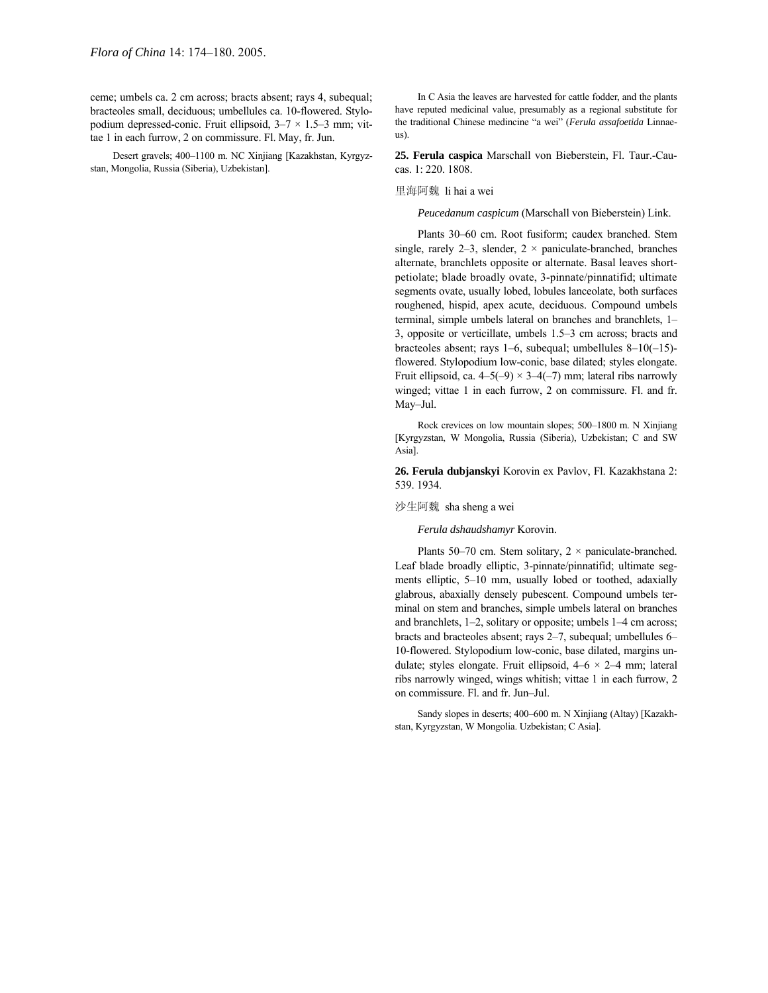ceme; umbels ca. 2 cm across; bracts absent; rays 4, subequal; bracteoles small, deciduous; umbellules ca. 10-flowered. Stylopodium depressed-conic. Fruit ellipsoid,  $3-7 \times 1.5-3$  mm; vittae 1 in each furrow, 2 on commissure. Fl. May, fr. Jun.

Desert gravels; 400-1100 m. NC Xinjiang [Kazakhstan, Kyrgyzstan, Mongolia, Russia (Siberia), Uzbekistan].

In C Asia the leaves are harvested for cattle fodder, and the plants have reputed medicinal value, presumably as a regional substitute for the traditional Chinese medincine "a wei" (*Ferula assafoetida* Linnaeus).

**25. Ferula caspica** Marschall von Bieberstein, Fl. Taur.-Caucas. 1: 220. 1808.

#### 里海阿魏 li hai a wei

*Peucedanum caspicum* (Marschall von Bieberstein) Link.

Plants 30-60 cm. Root fusiform; caudex branched. Stem single, rarely 2-3, slender,  $2 \times$  paniculate-branched, branches alternate, branchlets opposite or alternate. Basal leaves shortpetiolate; blade broadly ovate, 3-pinnate/pinnatifid; ultimate segments ovate, usually lobed, lobules lanceolate, both surfaces roughened, hispid, apex acute, deciduous. Compound umbels terminal, simple umbels lateral on branches and branchlets, 1– 3, opposite or verticillate, umbels  $1.5-3$  cm across; bracts and bracteoles absent; rays 1–6, subequal; umbellules 8–10(-15)flowered. Stylopodium low-conic, base dilated; styles elongate. Fruit ellipsoid, ca.  $4-5(-9) \times 3-4(-7)$  mm; lateral ribs narrowly winged; vittae 1 in each furrow, 2 on commissure. Fl. and fr. May-Jul.

Rock crevices on low mountain slopes; 500-1800 m. N Xinjiang [Kyrgyzstan, W Mongolia, Russia (Siberia), Uzbekistan; C and SW Asia].

**26. Ferula dubjanskyi** Korovin ex Pavlov, Fl. Kazakhstana 2: 539. 1934.

#### 沙生阿魏 sha sheng a wei

### *Ferula dshaudshamyr* Korovin.

Plants 50–70 cm. Stem solitary,  $2 \times$  paniculate-branched. Leaf blade broadly elliptic, 3-pinnate/pinnatifid; ultimate segments elliptic, 5-10 mm, usually lobed or toothed, adaxially glabrous, abaxially densely pubescent. Compound umbels terminal on stem and branches, simple umbels lateral on branches and branchlets,  $1-2$ , solitary or opposite; umbels  $1-4$  cm across; bracts and bracteoles absent; rays 2-7, subequal; umbellules 6-10-flowered. Stylopodium low-conic, base dilated, margins undulate; styles elongate. Fruit ellipsoid,  $4-6 \times 2-4$  mm; lateral ribs narrowly winged, wings whitish; vittae 1 in each furrow, 2 on commissure. Fl. and fr. Jun-Jul.

Sandy slopes in deserts; 400–600 m. N Xinjiang (Altay) [Kazakhstan, Kyrgyzstan, W Mongolia. Uzbekistan; C Asia].